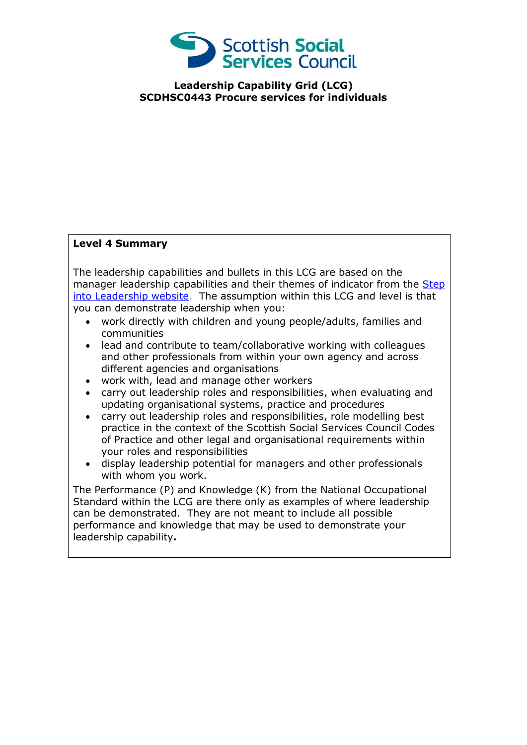

**Leadership Capability Grid (LCG) SCDHSC0443 Procure services for individuals**

## **Level 4 Summary**

The leadership capabilities and bullets in this LCG are based on the manager leadership capabilities and their themes of indicator from the Step [into Leadership website.](http://www.stepintoleadership.info/index.html) The assumption within this LCG and level is that you can demonstrate leadership when you:

- work directly with children and young people/adults, families and communities
- lead and contribute to team/collaborative working with colleagues and other professionals from within your own agency and across different agencies and organisations
- work with, lead and manage other workers
- carry out leadership roles and responsibilities, when evaluating and updating organisational systems, practice and procedures
- carry out leadership roles and responsibilities, role modelling best practice in the context of the Scottish Social Services Council Codes of Practice and other legal and organisational requirements within your roles and responsibilities
- display leadership potential for managers and other professionals with whom you work.

The Performance (P) and Knowledge (K) from the National Occupational Standard within the LCG are there only as examples of where leadership can be demonstrated. They are not meant to include all possible performance and knowledge that may be used to demonstrate your leadership capability**.**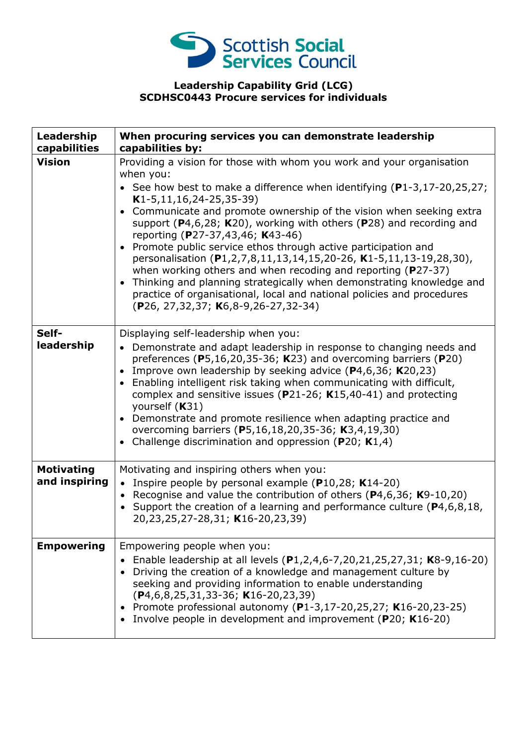

## **Leadership Capability Grid (LCG) SCDHSC0443 Procure services for individuals**

| Leadership<br>capabilities         | When procuring services you can demonstrate leadership<br>capabilities by:                                                                                                                                                                                                                                                                                                                                                                                                                                                                                                                                                                                                                                                                                                                                                   |
|------------------------------------|------------------------------------------------------------------------------------------------------------------------------------------------------------------------------------------------------------------------------------------------------------------------------------------------------------------------------------------------------------------------------------------------------------------------------------------------------------------------------------------------------------------------------------------------------------------------------------------------------------------------------------------------------------------------------------------------------------------------------------------------------------------------------------------------------------------------------|
| <b>Vision</b>                      | Providing a vision for those with whom you work and your organisation<br>when you:<br>• See how best to make a difference when identifying $(P1-3, 17-20, 25, 27)$ ;<br>$K1-5, 11, 16, 24-25, 35-39)$<br>Communicate and promote ownership of the vision when seeking extra<br>support ( $P$ 4,6,28; K20), working with others ( $P$ 28) and recording and<br>reporting (P27-37,43,46; K43-46)<br>Promote public service ethos through active participation and<br>$\bullet$<br>personalisation (P1,2,7,8,11,13,14,15,20-26, K1-5,11,13-19,28,30),<br>when working others and when recoding and reporting ( $P27-37$ )<br>Thinking and planning strategically when demonstrating knowledge and<br>$\bullet$<br>practice of organisational, local and national policies and procedures<br>(P26, 27,32,37; K6,8-9,26-27,32-34) |
| Self-<br>leadership                | Displaying self-leadership when you:<br>Demonstrate and adapt leadership in response to changing needs and<br>$\bullet$<br>preferences ( $P5,16,20,35-36$ ; K23) and overcoming barriers ( $P20$ )<br>Improve own leadership by seeking advice $(P4, 6, 36; K20, 23)$<br>Enabling intelligent risk taking when communicating with difficult,<br>$\bullet$<br>complex and sensitive issues ( $P$ 21-26; K15,40-41) and protecting<br>yourself (K31)<br>Demonstrate and promote resilience when adapting practice and<br>overcoming barriers (P5,16,18,20,35-36; K3,4,19,30)<br>Challenge discrimination and oppression ( $P20$ ; K1,4)<br>$\bullet$                                                                                                                                                                           |
| <b>Motivating</b><br>and inspiring | Motivating and inspiring others when you:<br>• Inspire people by personal example ( $P10,28$ ; K14-20)<br>Recognise and value the contribution of others (P4,6,36; K9-10,20)<br>Support the creation of a learning and performance culture (P4,6,8,18,<br>20,23,25,27-28,31; K16-20,23,39)                                                                                                                                                                                                                                                                                                                                                                                                                                                                                                                                   |
| <b>Empowering</b>                  | Empowering people when you:<br>Enable leadership at all levels (P1,2,4,6-7,20,21,25,27,31; K8-9,16-20)<br>Driving the creation of a knowledge and management culture by<br>seeking and providing information to enable understanding<br>(P4,6,8,25,31,33-36; K16-20,23,39)<br>Promote professional autonomy (P1-3,17-20,25,27; K16-20,23-25)<br>Involve people in development and improvement (P20; K16-20)                                                                                                                                                                                                                                                                                                                                                                                                                  |